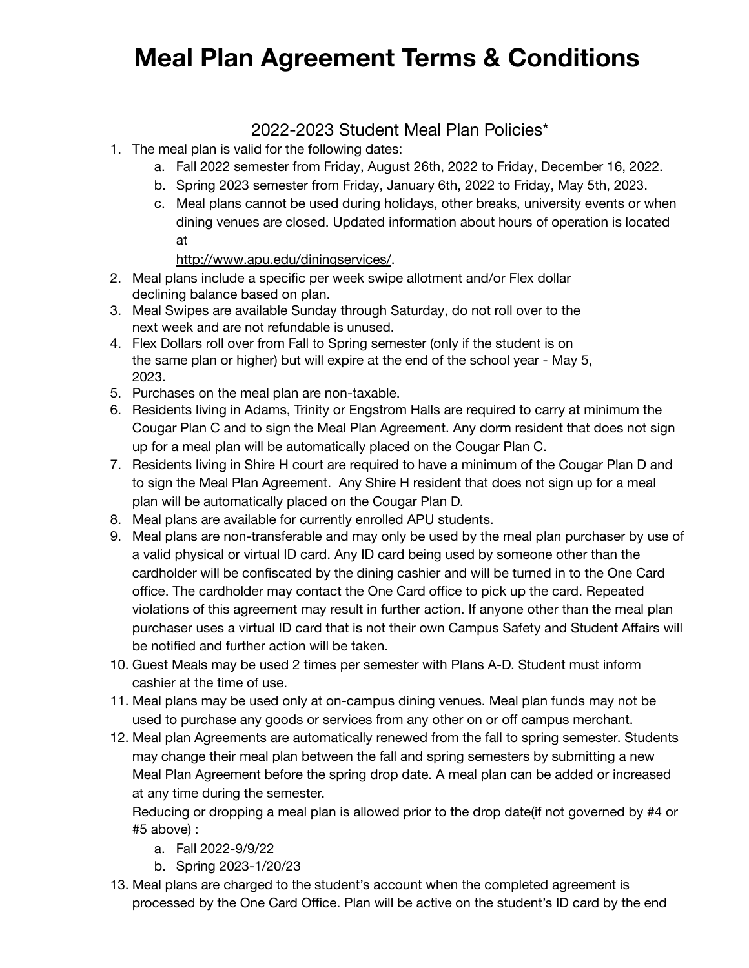## **Meal Plan Agreement Terms & Conditions**

## 2022-2023 Student Meal Plan Policies\*

- 1. The meal plan is valid for the following dates:
	- a. Fall 2022 semester from Friday, August 26th, 2022 to Friday, December 16, 2022.
	- b. Spring 2023 semester from Friday, January 6th, 2022 to Friday, May 5th, 2023.
	- c. Meal plans cannot be used during holidays, other breaks, university events or when dining venues are closed. Updated information about hours of operation is located at

## [http://www.apu.edu/diningservices/.](http://www.apu.edu/diningservices/)

- 2. Meal plans include a specific per week swipe allotment and/or Flex dollar declining balance based on plan.
- 3. Meal Swipes are available Sunday through Saturday, do not roll over to the next week and are not refundable is unused.
- 4. Flex Dollars roll over from Fall to Spring semester (only if the student is on the same plan or higher) but will expire at the end of the school year - May 5, 2023.
- 5. Purchases on the meal plan are non-taxable.
- 6. Residents living in Adams, Trinity or Engstrom Halls are required to carry at minimum the Cougar Plan C and to sign the Meal Plan Agreement. Any dorm resident that does not sign up for a meal plan will be automatically placed on the Cougar Plan C.
- 7. Residents living in Shire H court are required to have a minimum of the Cougar Plan D and to sign the Meal Plan Agreement. Any Shire H resident that does not sign up for a meal plan will be automatically placed on the Cougar Plan D.
- 8. Meal plans are available for currently enrolled APU students.
- 9. Meal plans are non-transferable and may only be used by the meal plan purchaser by use of a valid physical or virtual ID card. Any ID card being used by someone other than the cardholder will be confiscated by the dining cashier and will be turned in to the One Card office. The cardholder may contact the One Card office to pick up the card. Repeated violations of this agreement may result in further action. If anyone other than the meal plan purchaser uses a virtual ID card that is not their own Campus Safety and Student Affairs will be notified and further action will be taken.
- 10. Guest Meals may be used 2 times per semester with Plans A-D. Student must inform cashier at the time of use.
- 11. Meal plans may be used only at on-campus dining venues. Meal plan funds may not be used to purchase any goods or services from any other on or off campus merchant.
- 12. Meal plan Agreements are automatically renewed from the fall to spring semester. Students may change their meal plan between the fall and spring semesters by submitting a new Meal Plan Agreement before the spring drop date. A meal plan can be added or increased at any time during the semester.

Reducing or dropping a meal plan is allowed prior to the drop date(if not governed by #4 or #5 above) :

- a. Fall 2022-9/9/22
- b. Spring 2023-1/20/23
- 13. Meal plans are charged to the student's account when the completed agreement is processed by the One Card Office. Plan will be active on the student's ID card by the end